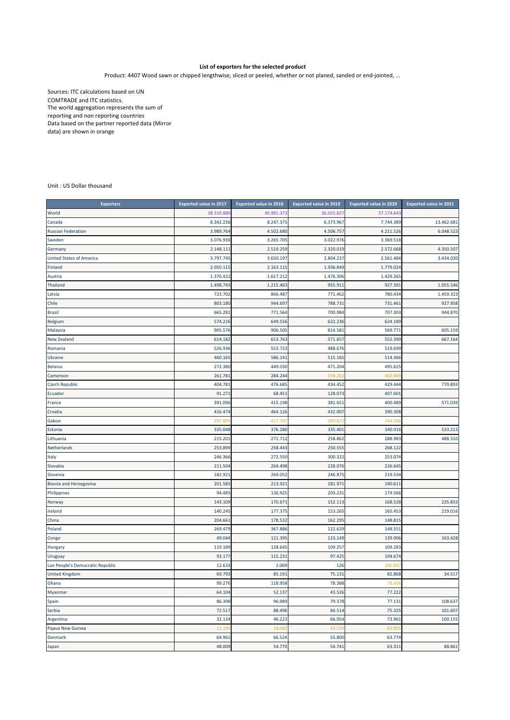## **List of exporters for the selected product**

Product: 4407 Wood sawn or chipped lengthwise, sliced or peeled, whether or not planed, sanded or end‐jointed, ...

Sources: ITC calculations based on UN COMTRADE and ITC statistics. The world aggregation represents the sum of reporting and non reporting countries Data based on the partner reported data (Mirror data) are shown in orange

Unit : US Dollar thousand

| <b>Exporters</b>                 | <b>Exported value in 2017</b> | <b>Exported value in 2018</b> | <b>Exported value in 2019</b> | <b>Exported value in 2020</b> | <b>Exported value in 2021</b> |
|----------------------------------|-------------------------------|-------------------------------|-------------------------------|-------------------------------|-------------------------------|
| World                            | 38.310.88                     | 40.981.37                     | 36.015.827                    | 37.174.64                     |                               |
| Canada                           | 8.342.236                     | 8.247.375                     | 6.373.967                     | 7.744.389                     | 13.462.681                    |
| <b>Russian Federation</b>        | 3.989.764                     | 4.502.680                     | 4.506.757                     | 4.211.526                     | 6.048.523                     |
| Sweden                           | 3.076.930                     | 3.265.705                     | 3.022.976                     | 3.369.518                     |                               |
| Germany                          | 2.148.111                     | 2.519.259                     | 2.320.019                     | 2.572.668                     | 4.350.507                     |
| <b>United States of America</b>  | 3.797.745                     | 3.650.197                     | 2.804.237                     | 2.561.484                     | 3.434.020                     |
| Finland                          | 2.050.115                     | 2.163.115                     | 1.936.849                     | 1.779.02                      |                               |
| Austria                          | 1.370.422                     | 1.617.212                     | 1.476.306                     | 1.429.265                     |                               |
| Thailand                         | 1.498.743                     | 1.215.463                     | 955.911                       | 927.39                        | 1.055.546                     |
| Latvia                           | 723.702                       | 866.487                       | 771.462                       | 780.434                       | 1.459.323                     |
| Chile                            | 803.180                       | 944.697                       | 788.731                       | 731.46                        | 927.958                       |
| <b>Brazil</b>                    | 665.281                       | 771.564                       | 700.984                       | 707.303                       | 944.870                       |
| Belgium                          | 574.226                       | 649.556                       | 622.236                       | 624.189                       |                               |
| Malaysia                         | 905.576                       | 906.505                       | 814.581                       | 569.77                        | 605.159                       |
| <b>New Zealand</b>               | 614.182                       | 653.763                       | 571.657                       | 552.390                       | 667.164                       |
| Romania                          | 526.936                       | 553.723                       | 488.676                       | 519.699                       |                               |
| Ukraine                          | 460.165                       | 586.141                       | 515.165                       | 514.366                       |                               |
| <b>Belarus</b>                   | 272.380                       | 449.030                       | 471.204                       | 495.625                       |                               |
| Cameroon                         | 261.78                        | 284.244                       | 559.20                        | 462.84                        |                               |
| <b>Czech Republic</b>            | 404.781                       | 476.685                       | 434.452                       | 429.444                       | 770.893                       |
| Ecuador                          | 91.271                        | 68.451                        | 128.073                       | 407.60                        |                               |
| France                           | 391.096                       | 415.198                       | 381.651                       | 400.489                       | 571.039                       |
| Croatia                          | 416.474                       | 464.126                       | 432.007                       | 390.308                       |                               |
| Gabon                            | 397.89                        | 417.79                        | 389.872                       | 344.33                        |                               |
| Estonia                          | 335.048                       | 376.280                       | 335.401                       | 340.016                       | 533.213                       |
| Lithuania                        | 215.20:                       | 271.712                       | 258.862                       | 288.983                       | 488.310                       |
| Netherlands                      | 253.899                       | 258.443                       | 250.555                       | 268.122                       |                               |
| Italy                            | 246.366                       | 272.550                       | 300.322                       | 253.074                       |                               |
| Slovakia                         | 211.504                       | 264.498                       | 228.076                       | 226.645                       |                               |
| Slovenia                         | 182.92                        | 269.052                       | 246.875                       | 219.534                       |                               |
| Bosnia and Herzegovina           | 201.58                        | 213.92                        | 181.971                       | 190.61                        |                               |
| Philippines                      | 94.485                        | 136.925                       | 203.231                       | 174.566                       |                               |
| Norway                           | 143.109                       | 170.671                       | 152.113                       | 168.528                       | 235.833                       |
| Ireland                          | 140.245                       | 177.375                       | 153.265                       | 165.453                       | 219.016                       |
| China                            | 204.661                       | 178.532                       | 162.295                       | 148.81                        |                               |
| Poland                           | 269.479                       | 367.886                       | 122.629                       | 148.55                        |                               |
| Congo                            | 49.044                        | 121.395                       | 123.149                       | 139.906                       | 163.428                       |
| Hungary                          | 119.189                       | 128.645                       | 109.257                       | 109.283                       |                               |
| Uruguay                          | 93.177                        | 115.231                       | 97.425                        | 104.674                       |                               |
| Lao People's Democratic Republic | 12.633                        | 2.069                         | 126                           | 100.93                        |                               |
| <b>United Kingdom</b>            | 69.793                        | 85.191                        | 75.131                        | 82.868                        | 34.517                        |
| Ghana                            | 99.276                        | 118.958                       | 78.388                        | 78.43                         |                               |
| Myanmar                          | 64.104                        | 52.137                        | 43.526                        | 77.222                        |                               |
| Spain                            | 86.398                        | 96.989                        | 79.378                        | 77.131                        | 108.637                       |
| Serbia                           | 72.517                        | 88.496                        | 84.514                        | 75.325                        | 101.607                       |
| Argentina                        | 32.134                        | 46.223                        | 66.054                        | 73.961                        | 100.155                       |
| Papua New Guinea                 | 11.19                         | 18.04                         | 33.159                        | 63.89                         |                               |
| <b>Denmark</b>                   | 64.961                        | 66.524                        | 55.800                        | 63.774                        |                               |
| Japan                            | 48.009                        | 54.770                        | 54.741                        | 63.311                        | 88.861                        |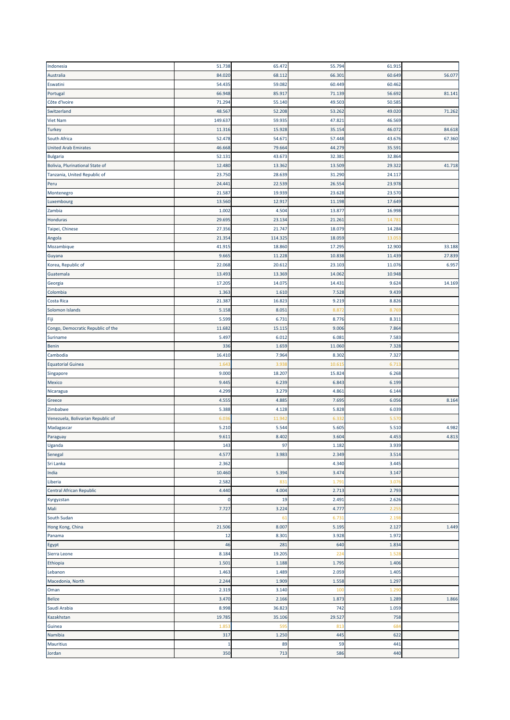| Indonesia                         | 51.738              | 65.472    | 55.794    | 61.915     |        |
|-----------------------------------|---------------------|-----------|-----------|------------|--------|
| Australia                         | 84.020              | 68.11     | 66.301    | 60.649     | 56.077 |
| Eswatini                          | 54.435              | 59.082    | 60.449    | 60.462     |        |
| Portugal                          | 66.948              | 85.917    | 71.139    | 56.692     | 81.141 |
| Côte d'Ivoire                     | 71.294              | 55.140    | 49.503    | 50.585     |        |
| Switzerland                       | 48.567              | 52.208    | 53.262    | 49.020     | 71.262 |
| <b>Viet Nam</b>                   | 149.63              | 59.935    | 47.821    | 46.569     |        |
| <b>Turkey</b>                     | 11.316              | 15.928    | 35.154    | 46.072     | 84.618 |
| South Africa                      | 52.478              | 54.671    | 57.448    | 43.676     | 67.360 |
|                                   | 46.668              | 79.664    | 44.279    | 35.59      |        |
| <b>United Arab Emirates</b>       |                     |           |           |            |        |
| <b>Bulgaria</b>                   | 52.131              | 43.67     | 32.381    | 32.864     |        |
| Bolivia, Plurinational State of   | 12.480              | 13.362    | 13.509    | 29.322     | 41.718 |
| Tanzania, United Republic of      | 23.750              | 28.639    | 31.290    | 24.117     |        |
| Peru                              | 24.441              | 22.539    | 26.554    | 23.978     |        |
| Montenegro                        | 21.587              | 19.939    | 23.628    | 23.570     |        |
| Luxembourg                        | 13.560              | 12.917    | 11.198    | 17.649     |        |
| Zambia                            | 1.002               | 4.504     | 13.877    | 16.998     |        |
| Honduras                          | 29.695              | 23.134    | 21.261    | 14.78      |        |
| Taipei, Chinese                   | 27.356              | 21.747    | 18.079    | 14.284     |        |
| Angola                            | 21.354              | 114.325   | 18.059    | 13.05      |        |
| Mozambique                        | 41.915              | 18.860    | 17.295    | 12.900     | 33.188 |
| Guyana                            | 9.665               | 11.228    | 10.838    | 11.439     | 27.839 |
| Korea, Republic of                | 22.068              | 20.612    | 23.103    | 11.076     | 6.957  |
| Guatemala                         | 13.493              | 13.369    | 14.062    | 10.948     |        |
| Georgia                           | 17.205              | 14.075    | 14.431    | 9.624      | 14.169 |
| Colombia                          | 1.363               | 1.610     | 7.528     | 9.439      |        |
| Costa Rica                        | 21.38               | 16.823    | 9.219     | 8.826      |        |
| Solomon Islands                   | 5.158               | 8.051     | 8.87      | 8.76       |        |
| Fiji                              | 5.599               | 6.731     | 8.776     | 8.31       |        |
| Congo, Democratic Republic of the | 11.682              | 15.115    | 9.006     | 7.864      |        |
| Suriname                          | 5.497               | 6.012     | 6.081     | 7.583      |        |
| Benin                             | 336                 | 1.659     | 11.060    | 7.328      |        |
| Cambodia                          | 16.410              | 7.964     | 8.302     | 7.327      |        |
|                                   |                     |           |           |            |        |
| <b>Equatorial Guinea</b>          | 1.64                | 3.93      | 10.61     | 6.71       |        |
| Singapore                         | 9.000               | 18.207    | 15.824    | 6.268      |        |
| Mexico                            | 9.445               | 6.239     | 6.843     | 6.199      |        |
| Nicaragua                         | 4.299               | 3.279     | 4.861     | 6.144      |        |
| Greece                            | 4.555               | 4.885     | 7.695     | 6.056      | 8.164  |
| Zimbabwe                          | 5.388               | 4.128     | 5.828     | 6.039      |        |
| Venezuela, Bolivarian Republic of | 6.03                | 11.94     | 6.332     | 5.57       |        |
| Madagascar                        | 5.210               | 5.544     | 5.605     | 5.510      | 4.982  |
| Paraguay                          | 9.611               | 8.402     | 3.604     | 4.453      | 4.813  |
| Uganda                            | 143                 | 97        | 1.182     | 3.939      |        |
| Senegal                           | 4.577               | 3.983     | 2.349     | 3.514      |        |
| Sri Lanka                         | 2.362               |           | 4.340     | 3.445      |        |
| India                             | 10.460              | 5.394     | 3.474     | 3.147      |        |
| Liberia                           | 2.582               | 831       | 1.791     | 3.076      |        |
| Central African Republic          | 4.440               | 4.004     | 2.713     | 2.793      |        |
| Kyrgyzstan                        | 0                   | 19        | 2.491     | 2.626      |        |
| Mali                              | 7.727               | 3.224     | 4.777     | 2.25       |        |
| South Sudan                       |                     | 61        | 6.731     | 2.198      |        |
| Hong Kong, China                  | 21.506              | 8.007     | 5.195     | 2.127      | 1.449  |
| Panama                            | 12                  | 8.301     | 3.928     | 1.972      |        |
| Egypt                             | 46                  | 281       | 640       | 1.834      |        |
| Sierra Leone                      | 8.184               | 19.205    | 224       | 1.528      |        |
| Ethiopia                          | 1.501               | 1.188     | 1.795     | 1.406      |        |
| Lebanon                           | 1.463               | 1.489     | 2.059     | 1.405      |        |
| Macedonia, North                  | 2.244               | 1.909     | 1.558     | 1.297      |        |
| Oman                              | 2.319               | 3.140     | 100       | 1.29       |        |
| <b>Belize</b>                     | 3.470               | 2.166     | 1.873     | 1.289      | 1.866  |
| Saudi Arabia                      | 8.998               | 36.823    | 742       | 1.059      |        |
| Kazakhstan                        | 19.785              | 35.106    | 29.527    | 758        |        |
| Guinea                            | 1.85                | 595       | 813       | 684        |        |
| Namibia                           | 317                 | 1.250     | 445       | 622        |        |
| <b>Mauritius</b><br>Jordan        | $\mathbf{1}$<br>350 | 89<br>713 | 59<br>586 | 441<br>440 |        |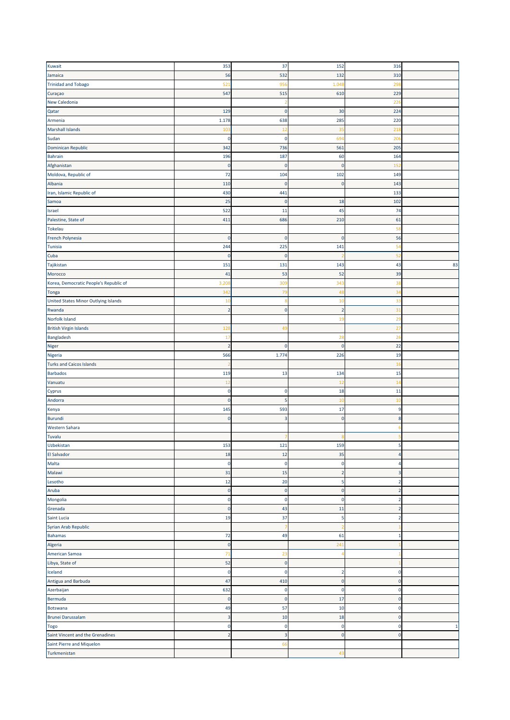| Kuwait                                 | 353            | 37                      | 152            | 316            |              |
|----------------------------------------|----------------|-------------------------|----------------|----------------|--------------|
| Jamaica                                | 56             | 532                     | 132            | 310            |              |
|                                        |                |                         |                |                |              |
| <b>Trinidad and Tobago</b>             | 521            | 956                     | 1.048          | 298            |              |
| Curaçao                                | 547            | 515                     | 610            | 229            |              |
| New Caledonia                          |                |                         |                | 226            |              |
| Qatar                                  | 129            | $\mathbf 0$             | 30             | 224            |              |
| Armenia                                | 1.178          | 638                     | 285            | 220            |              |
| <b>Marshall Islands</b>                | 103            | 12                      | 35             | 218            |              |
|                                        |                |                         |                |                |              |
| Sudan                                  | 0              | $\mathbf 0$             | 694            | 206            |              |
| Dominican Republic                     | 342            | 736                     | 561            | 205            |              |
| Bahrain                                | 196            | 187                     | 60             | 164            |              |
| Afghanistan                            | $\pmb{0}$      | $\mathbf 0$             | $\overline{0}$ | 152            |              |
| Moldova, Republic of                   | 72             | 104                     | 102            | 149            |              |
| Albania                                | 110            | $\mathbf 0$             | $\overline{0}$ | 143            |              |
| Iran, Islamic Republic of              | 430            | 441                     |                | 133            |              |
|                                        |                |                         |                |                |              |
| Samoa                                  | 25             | $\mathbf 0$             | 18             | 102            |              |
| Israel                                 | 522            | 11                      | 45             | 74             |              |
| Palestine, State of                    | 411            | 686                     | 210            | 61             |              |
| Tokelau                                |                |                         |                | 58             |              |
| French Polynesia                       | 0              | $\mathbf 0$             | $\mathbf 0$    | 56             |              |
| Tunisia                                | 244            | 225                     | 141            | 54             |              |
|                                        |                | $\mathbf 0$             |                | 52             |              |
| Cuba                                   | 0              |                         |                |                |              |
| Tajikistan                             | 151            | 131                     | 143            | 43             | 83           |
| Morocco                                | 41             | 53                      | 52             | 39             |              |
| Korea, Democratic People's Republic of | 3.20           | 309                     | 343            | 38             |              |
| <b>Tonga</b>                           | 342            | 79                      | 48             | 34             |              |
| United States Minor Outlying Islands   | 10             | 8                       | 10             | 33             |              |
| Rwanda                                 | $\overline{2}$ | $\mathbf 0$             | $\overline{2}$ | 31             |              |
|                                        |                |                         |                |                |              |
| Norfolk Island                         |                |                         | 19             | <b>29</b>      |              |
| <b>British Virgin Islands</b>          | 128            | 49                      |                | 27             |              |
| Bangladesh                             | 17             |                         | 28             | 26             |              |
| Niger                                  | $\overline{2}$ | $\mathbf 0$             | $\mathbf 0$    | 22             |              |
| Nigeria                                | 566            | 1.774                   | 226            | 19             |              |
| <b>Turks and Caicos Islands</b>        |                |                         |                | 16             |              |
| <b>Barbados</b>                        | 119            | 13                      | 134            | 15             |              |
|                                        |                |                         |                |                |              |
| Vanuatu                                | 12             |                         | 12             | 14             |              |
| Cyprus                                 | $\pmb{0}$      | $\mathbf 0$             | 18             | 11             |              |
| Andorra                                | $\mathbf 0$    | 5                       | 10             | 10             |              |
| Kenya                                  | 145            | 593                     | 17             | $9\,$          |              |
| Burundi                                | 0              | $\overline{3}$          | $\mathbf 0$    | $\bf 8$        |              |
| Western Sahara                         |                |                         |                | 6              |              |
| Tuvalu                                 |                |                         |                |                |              |
|                                        |                |                         |                |                |              |
| Uzbekistan                             | 153            | 121                     | 159            | 5              |              |
| El Salvador                            | 18             | 12                      | 35             | 4              |              |
| Malta                                  | 0              | $\mathbf 0$             | 0              | 4              |              |
| Malawi                                 | 31             | 15                      | $\overline{2}$ | 3              |              |
| Lesotho                                | 12             | 20                      | 5              | $\overline{2}$ |              |
| Aruba                                  | 0              | $\pmb{0}$               | $\mathbf 0$    | $\overline{2}$ |              |
| Mongolia                               | $\mathbf 0$    | $\mathbf 0$             | $\mathbf 0$    | $\mathbf{2}$   |              |
| Grenada                                |                |                         |                |                |              |
|                                        | $\pmb{0}$      | 43                      | 11             | $\overline{2}$ |              |
| Saint Lucia                            | 19             | 37                      | 5              | $\overline{2}$ |              |
| Syrian Arab Republic                   |                |                         |                |                |              |
| Bahamas                                | 72             | 49                      | 61             | $\mathbf{1}$   |              |
| Algeria                                | $\pmb{0}$      |                         | 241            |                |              |
| American Samoa                         | 71             | 23                      |                |                |              |
| Libya, State of                        | 52             | $\pmb{0}$               |                |                |              |
|                                        |                |                         |                |                |              |
| Iceland                                | $\pmb{0}$      | $\mathbf 0$             | $\overline{2}$ | $\pmb{0}$      |              |
| Antigua and Barbuda                    | 47             | 410                     | $\pmb{0}$      | $\mathbf 0$    |              |
| Azerbaijan                             | 632            | $\mathbf 0$             | $\mathbf 0$    | $\mathbf 0$    |              |
| Bermuda                                | $\pmb{0}$      | $\mathbf 0$             | 17             | $\bf 0$        |              |
| <b>Botswana</b>                        | 49             | 57                      | 10             | $\pmb{0}$      |              |
| Brunei Darussalam                      | 3              | 10                      | 18             | $\pmb{0}$      |              |
|                                        |                |                         |                |                |              |
| Togo                                   | $\pmb{0}$      | $\pmb{0}$               | $\mathbf 0$    | 0              | $\mathbf{1}$ |
| Saint Vincent and the Grenadines       | $\overline{2}$ | $\overline{\mathbf{3}}$ | $\mathbf 0$    | $\mathbf 0$    |              |
| Saint Pierre and Miquelon              |                | 66                      |                |                |              |
| Turkmenistan                           |                |                         | 43             |                |              |